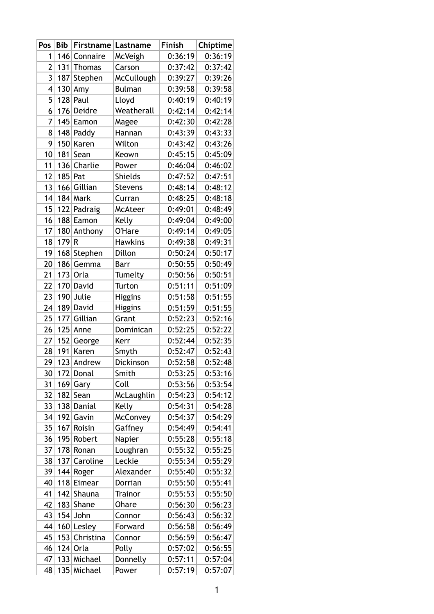| Pos             | <b>Bib</b> | Firstname     | Lastname       | Finish  | Chiptime |
|-----------------|------------|---------------|----------------|---------|----------|
| 1               |            | 146 Connaire  | <b>McVeigh</b> | 0:36:19 | 0:36:19  |
| 2               | 131        | Thomas        | Carson         | 0:37:42 | 0:37:42  |
| 3               | 187        | Stephen       | McCullough     | 0:39:27 | 0:39:26  |
| 4               | 130        | Amy           | <b>Bulman</b>  | 0:39:58 | 0:39:58  |
| 5               |            | $128$ Paul    | Lloyd          | 0:40:19 | 0:40:19  |
| 6               | 176        | Deidre        | Weatherall     | 0:42:14 | 0:42:14  |
| 7               |            | 145 Eamon     | Magee          | 0:42:30 | 0:42:28  |
| 8               | 148        | Paddy         | Hannan         | 0:43:39 | 0:43:33  |
| 9               |            | 150 Karen     | Wilton         | 0:43:42 | 0:43:26  |
| 10              | 181        | Sean          | Keown          | 0:45:15 | 0:45:09  |
| 11              |            | 136 Charlie   | Power          | 0:46:04 | 0:46:02  |
| 12              | $185$ Pat  |               | <b>Shields</b> | 0:47:52 | 0:47:51  |
| 13              |            | 166 Gillian   | <b>Stevens</b> | 0:48:14 | 0:48:12  |
| 14              |            | $184$ Mark    | Curran         | 0:48:25 | 0:48:18  |
| 15              |            | 122 Padraig   | <b>McAteer</b> | 0:49:01 | 0:48:49  |
| 16              |            | 188 Eamon     | Kelly          | 0:49:04 | 0:49:00  |
| 17              | 180        | Anthony       | <b>O'Hare</b>  | 0:49:14 | 0:49:05  |
| 18              | 179 R      |               | <b>Hawkins</b> | 0:49:38 | 0:49:31  |
| 19              |            | 168 Stephen   | Dillon         | 0:50:24 | 0:50:17  |
| 20 <sub>1</sub> |            | 186 Gemma     | Barr           | 0:50:55 | 0:50:49  |
| 21              |            | $173$ Orla    | Tumelty        | 0:50:56 | 0:50:51  |
| 22              | 170        | David         | Turton         | 0:51:11 | 0:51:09  |
| 23              | 190        | Julie         | <b>Higgins</b> | 0:51:58 | 0:51:55  |
| 24              | 189        | David         | <b>Higgins</b> | 0:51:59 | 0:51:55  |
| 25              | 177        | Gillian       | Grant          | 0:52:23 | 0:52:16  |
| 26              | 125        | Anne          | Dominican      | 0:52:25 | 0:52:22  |
| 27              |            | 152 George    | Kerr           | 0:52:44 | 0:52:35  |
| 28              | 191        | Karen         | Smyth          | 0:52:47 | 0:52:43  |
| 29              |            | 123 Andrew    | Dickinson      | 0:52:58 | 0:52:48  |
| 30 <sup>2</sup> | 172        | Donal         | Smith          | 0:53:25 | 0:53:16  |
| 31              | 169        | Gary          | Coll           | 0:53:56 | 0:53:54  |
| 32              | 182        | Sean          | McLaughlin     | 0:54:23 | 0:54:12  |
| 33              |            | 138 Danial    | Kelly          | 0:54:31 | 0:54:28  |
| 34              |            | $192$ Gavin   | McConvey       | 0:54:37 | 0:54:29  |
| 35              | 167        | Roisin        | Gaffney        | 0:54:49 | 0:54:41  |
| 36              | 195        | Robert        | Napier         | 0:55:28 | 0:55:18  |
| 37              |            | 178 Ronan     | Loughran       | 0:55:32 | 0:55:25  |
| 38              | 137        | Caroline      | Leckie         | 0:55:34 | 0:55:29  |
| 39              |            | 144 Roger     | Alexander      | 0:55:40 | 0:55:32  |
| 40              | 118        | Eimear        | Dorrian        | 0:55:50 | 0:55:41  |
| 41              |            | 142 Shauna    | <b>Trainor</b> | 0:55:53 | 0:55:50  |
| 42              |            | $183$ Shane   | Ohare          | 0:56:30 | 0:56:23  |
| 43              | 154        | John          | Connor         | 0:56:43 | 0:56:32  |
| 44              | 160        | Lesley        | Forward        | 0:56:58 | 0:56:49  |
| 45              |            | 153 Christina | Connor         | 0:56:59 | 0:56:47  |
| 46              |            | 124 Orla      | Polly          | 0:57:02 | 0:56:55  |
| 47              |            | 133 Michael   | Donnelly       | 0:57:11 | 0:57:04  |
| 48              |            | 135 Michael   | Power          | 0:57:19 | 0:57:07  |